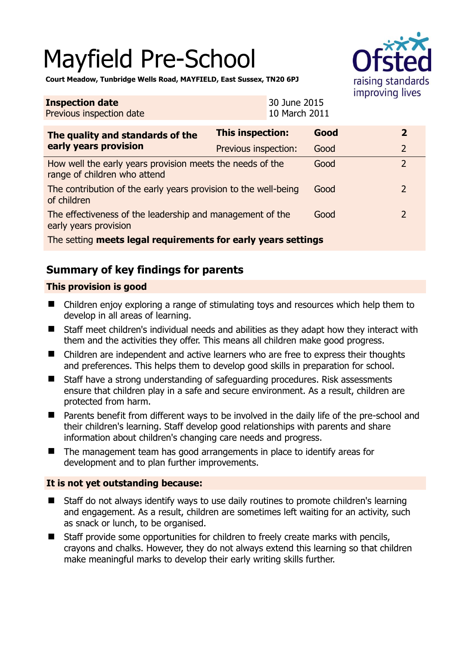# Mayfield Pre-School



**Court Meadow, Tunbridge Wells Road, MAYFIELD, East Sussex, TN20 6PJ** 

| <b>Inspection date</b><br>Previous inspection date                                        |                      | 30 June 2015<br>10 March 2011 |      | 111112121111411122 |                |
|-------------------------------------------------------------------------------------------|----------------------|-------------------------------|------|--------------------|----------------|
| The quality and standards of the<br>early years provision                                 | This inspection:     |                               | Good |                    | $\overline{2}$ |
|                                                                                           | Previous inspection: |                               | Good |                    | $\overline{2}$ |
| How well the early years provision meets the needs of the<br>range of children who attend |                      |                               | Good |                    | $\overline{2}$ |
| The contribution of the early years provision to the well-being<br>of children            |                      |                               | Good |                    | $\overline{2}$ |
| The effectiveness of the leadership and management of the<br>early years provision        |                      |                               | Good |                    | $\overline{2}$ |
| The setting meets legal requirements for early years settings                             |                      |                               |      |                    |                |

# **Summary of key findings for parents**

## **This provision is good**

- Children enjoy exploring a range of stimulating toys and resources which help them to develop in all areas of learning.
- Staff meet children's individual needs and abilities as they adapt how they interact with them and the activities they offer. This means all children make good progress.
- Children are independent and active learners who are free to express their thoughts and preferences. This helps them to develop good skills in preparation for school.
- Staff have a strong understanding of safeguarding procedures. Risk assessments ensure that children play in a safe and secure environment. As a result, children are protected from harm.
- Parents benefit from different ways to be involved in the daily life of the pre-school and their children's learning. Staff develop good relationships with parents and share information about children's changing care needs and progress.
- The management team has good arrangements in place to identify areas for development and to plan further improvements.

## **It is not yet outstanding because:**

- Staff do not always identify ways to use daily routines to promote children's learning and engagement. As a result, children are sometimes left waiting for an activity, such as snack or lunch, to be organised.
- Staff provide some opportunities for children to freely create marks with pencils, crayons and chalks. However, they do not always extend this learning so that children make meaningful marks to develop their early writing skills further.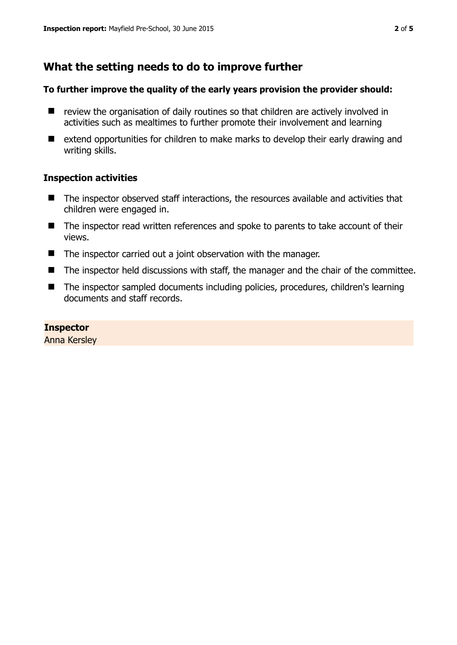# **What the setting needs to do to improve further**

#### **To further improve the quality of the early years provision the provider should:**

- $\blacksquare$  review the organisation of daily routines so that children are actively involved in activities such as mealtimes to further promote their involvement and learning
- extend opportunities for children to make marks to develop their early drawing and writing skills.

#### **Inspection activities**

- The inspector observed staff interactions, the resources available and activities that children were engaged in.
- The inspector read written references and spoke to parents to take account of their views.
- $\blacksquare$  The inspector carried out a joint observation with the manager.
- The inspector held discussions with staff, the manager and the chair of the committee.
- The inspector sampled documents including policies, procedures, children's learning documents and staff records.

#### **Inspector**

Anna Kersley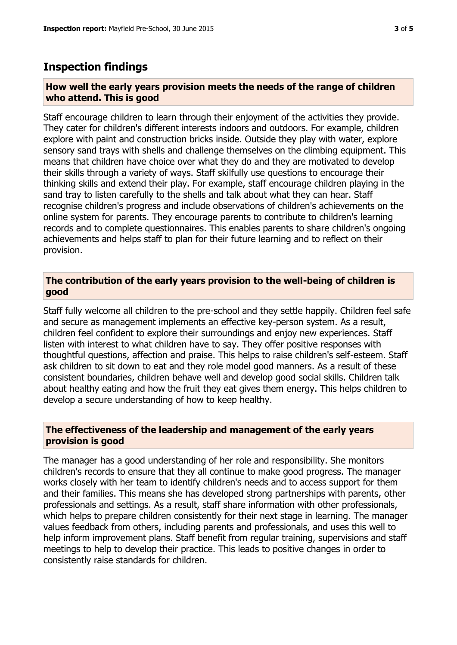## **Inspection findings**

#### **How well the early years provision meets the needs of the range of children who attend. This is good**

Staff encourage children to learn through their enjoyment of the activities they provide. They cater for children's different interests indoors and outdoors. For example, children explore with paint and construction bricks inside. Outside they play with water, explore sensory sand trays with shells and challenge themselves on the climbing equipment. This means that children have choice over what they do and they are motivated to develop their skills through a variety of ways. Staff skilfully use questions to encourage their thinking skills and extend their play. For example, staff encourage children playing in the sand tray to listen carefully to the shells and talk about what they can hear. Staff recognise children's progress and include observations of children's achievements on the online system for parents. They encourage parents to contribute to children's learning records and to complete questionnaires. This enables parents to share children's ongoing achievements and helps staff to plan for their future learning and to reflect on their provision.

### **The contribution of the early years provision to the well-being of children is good**

Staff fully welcome all children to the pre-school and they settle happily. Children feel safe and secure as management implements an effective key-person system. As a result, children feel confident to explore their surroundings and enjoy new experiences. Staff listen with interest to what children have to say. They offer positive responses with thoughtful questions, affection and praise. This helps to raise children's self-esteem. Staff ask children to sit down to eat and they role model good manners. As a result of these consistent boundaries, children behave well and develop good social skills. Children talk about healthy eating and how the fruit they eat gives them energy. This helps children to develop a secure understanding of how to keep healthy.

#### **The effectiveness of the leadership and management of the early years provision is good**

The manager has a good understanding of her role and responsibility. She monitors children's records to ensure that they all continue to make good progress. The manager works closely with her team to identify children's needs and to access support for them and their families. This means she has developed strong partnerships with parents, other professionals and settings. As a result, staff share information with other professionals, which helps to prepare children consistently for their next stage in learning. The manager values feedback from others, including parents and professionals, and uses this well to help inform improvement plans. Staff benefit from regular training, supervisions and staff meetings to help to develop their practice. This leads to positive changes in order to consistently raise standards for children.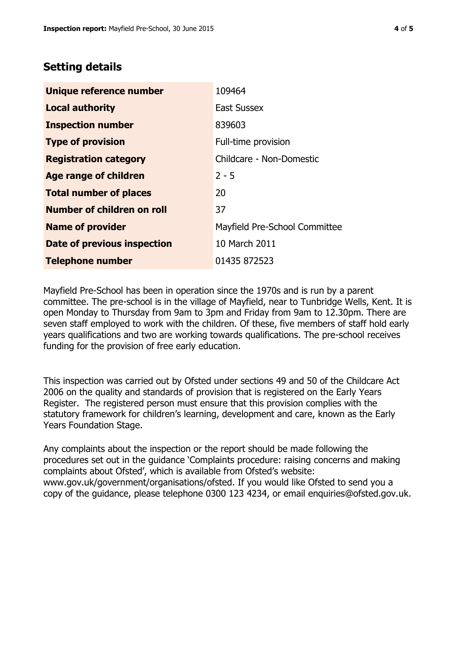# **Setting details**

| Unique reference number       | 109464                        |
|-------------------------------|-------------------------------|
| <b>Local authority</b>        | <b>East Sussex</b>            |
| <b>Inspection number</b>      | 839603                        |
| <b>Type of provision</b>      | Full-time provision           |
| <b>Registration category</b>  | Childcare - Non-Domestic      |
| <b>Age range of children</b>  | $2 - 5$                       |
| <b>Total number of places</b> | 20                            |
| Number of children on roll    | 37                            |
| <b>Name of provider</b>       | Mayfield Pre-School Committee |
| Date of previous inspection   | 10 March 2011                 |
| <b>Telephone number</b>       | 01435 872523                  |

Mayfield Pre-School has been in operation since the 1970s and is run by a parent committee. The pre-school is in the village of Mayfield, near to Tunbridge Wells, Kent. It is open Monday to Thursday from 9am to 3pm and Friday from 9am to 12.30pm. There are seven staff employed to work with the children. Of these, five members of staff hold early years qualifications and two are working towards qualifications. The pre-school receives funding for the provision of free early education.

This inspection was carried out by Ofsted under sections 49 and 50 of the Childcare Act 2006 on the quality and standards of provision that is registered on the Early Years Register. The registered person must ensure that this provision complies with the statutory framework for children's learning, development and care, known as the Early Years Foundation Stage.

Any complaints about the inspection or the report should be made following the procedures set out in the guidance 'Complaints procedure: raising concerns and making complaints about Ofsted', which is available from Ofsted's website: www.gov.uk/government/organisations/ofsted. If you would like Ofsted to send you a copy of the guidance, please telephone 0300 123 4234, or email enquiries@ofsted.gov.uk.